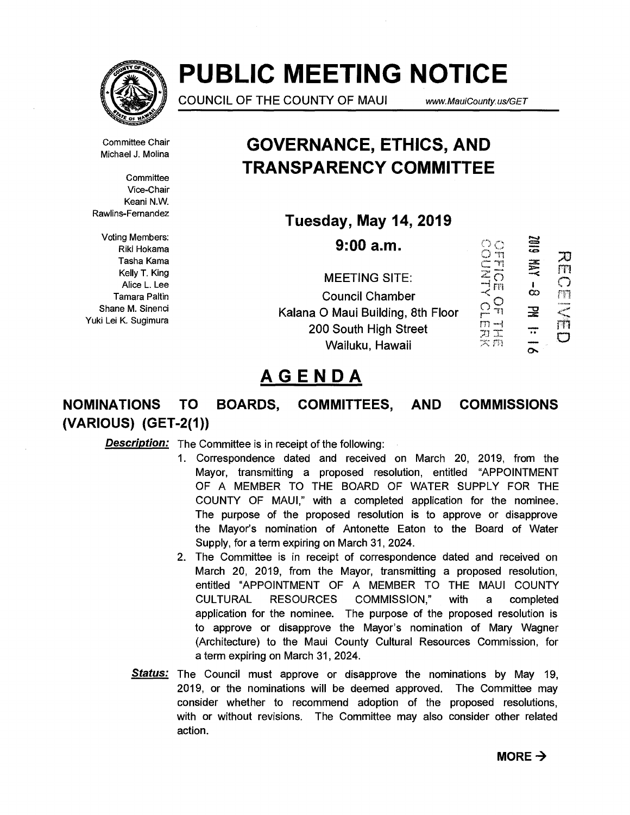

# **PUBLIC MEETING NOTICE**

COUNCIL OF THE COUNTY OF MAUI www.MauiCounty.us/GET

Committee Chair Michael J. Molina

**Committee** Vice-Chair Keani N.W. Rawlins-Fernandez

Voting Members: Riki Hokama Tasha Kama Kelly T. King Alice L. Lee Tamara Paltin Shane M. Sinenci Yuki Lei K. Sugimura

## **GOVERNANCE, ETHICS, AND TRANSPARENCY COMMITTEE**

**Tuesday, May 14, 2019** 

**9:00 a.m.** 

MEETING SITE: Council Chamber Kalana 0 Maui Building, 8th Floor 200 South High Street Wailuku, Hawaii

SIOZ OCHNLASS<br> **ALGERIAL** 刀<br>而 美人 Cm<br>NH<br>m  $\frac{1}{\infty}$  $\frac{1}{2}$ <br> $\frac{1}{2}$ <br> $\frac{1}{2}$  $\mathbf{E}$ ÷ w x  $\approx$   $m$ 

## **AGENDA**

## **NOMINATIONS TO BOARDS, COMMITTEES, AND COMMISSIONS (VARIOUS) (GET-2(1))**

**Description:** The Committee is in receipt of the following:

- 1. Correspondence dated and received on March 20, 2019, from the Mayor, transmitting a proposed resolution, entitled "APPOINTMENT OF A MEMBER TO THE BOARD OF WATER SUPPLY FOR THE COUNTY OF MAUI," with a completed application for the nominee. The purpose of the proposed resolution is to approve or disapprove the Mayor's nomination of Antonette Eaton to the Board of Water Supply, for a term expiring on March 31, 2024.
- 2. The Committee is in receipt of correspondence dated and received on March 20, 2019, from the Mayor, transmitting a proposed resolution, entitled "APPOINTMENT OF A MEMBER TO THE MAUI COUNTY CULTURAL RESOURCES COMMISSION," with a completed application for the nominee. The purpose of the proposed resolution is to approve or disapprove the Mayor's nomination of Mary Wagner (Architecture) to the Maui County Cultural Resources Commission, for a term expiring on March 31, 2024.
- **Status:** The Council must approve or disapprove the nominations by May 19, 2019, or the nominations will be deemed approved. The Committee may consider whether to recommend adoption of the proposed resolutions, with or without revisions. The Committee may also consider other related action.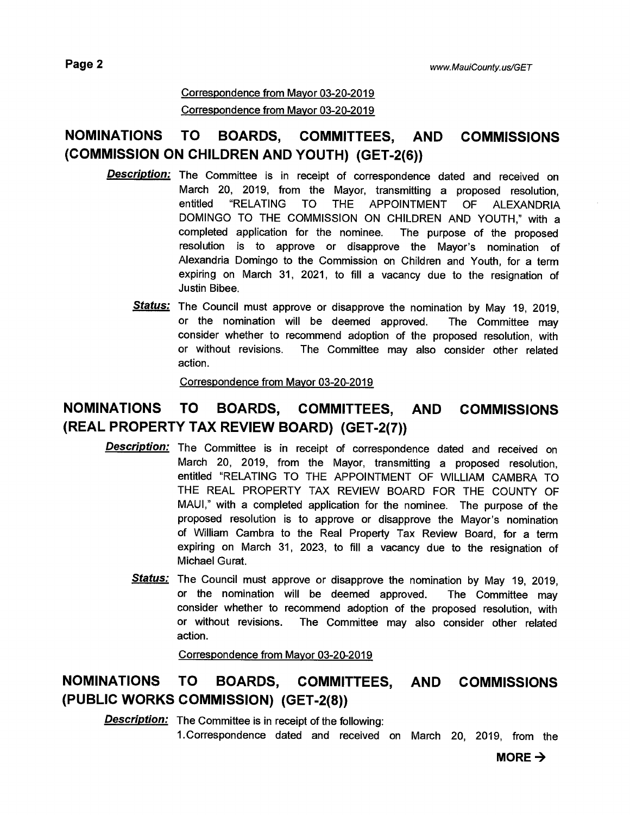#### Correspondence from Mayor 03-20-2019 Correspondence from Mayor 03-20-2019

## **NOMINATIONS TO BOARDS, COMMITTEES, AND COMMISSIONS (COMMISSION ON CHILDREN AND YOUTH) (GET-2(6))**

- **Description:**  The Committee is in receipt of correspondence dated and received on March 20, 2019, from the Mayor, transmitting a proposed resolution, entitled "RELATING TO THE APPOINTMENT OF ALEXANDRIA DOMINGO TO THE COMMISSION ON CHILDREN AND YOUTH," with a completed application for the nominee. The purpose of the proposed resolution is to approve or disapprove the Mayor's nomination of Alexandria Domingo to the Commission on Children and Youth, for a term expiring on March 31, 2021, to fill a vacancy due to the resignation of Justin Bibee.
	- **Status:**  The Council must approve or disapprove the nomination by May 19, 2019, or the nomination will be deemed approved. The Committee may consider whether to recommend adoption of the proposed resolution, with or without revisions. The Committee may also consider other related action.

Correspondence from Mayor 03-20-2019

### **NOMINATIONS TO BOARDS, COMMITTEES, AND COMMISSIONS (REAL PROPERTY TAX REVIEW BOARD) (GET-2(7))**

- **Description:** The Committee is in receipt of correspondence dated and received on March 20, 2019, from the Mayor, transmitting a proposed resolution, entitled "RELATING TO THE APPOINTMENT OF WILLIAM CAMBRA TO THE REAL PROPERTY TAX REVIEW BOARD FOR THE COUNTY OF MAUI," with a completed application for the nominee. The purpose of the proposed resolution is to approve or disapprove the Mayor's nomination of William Cambra to the Real Property Tax Review Board, for a term expiring on March 31, 2023, to fill a vacancy due to the resignation of Michael Gurat.
	- **Status:** The Council must approve or disapprove the nomination by May 19, 2019, or the nomination will be deemed approved. The Committee may consider whether to recommend adoption of the proposed resolution, with or without revisions. The Committee may also consider other related action.

Correspondence from Mayor 03-20-2019

### **NOMINATIONS TO BOARDS, COMMITTEES, AND COMMISSIONS (PUBLIC WORKS COMMISSION) (GET-2(8))**

**Description:** The Committee is in receipt of the following:

1.Correspondence dated and received on March 20, 2019, from the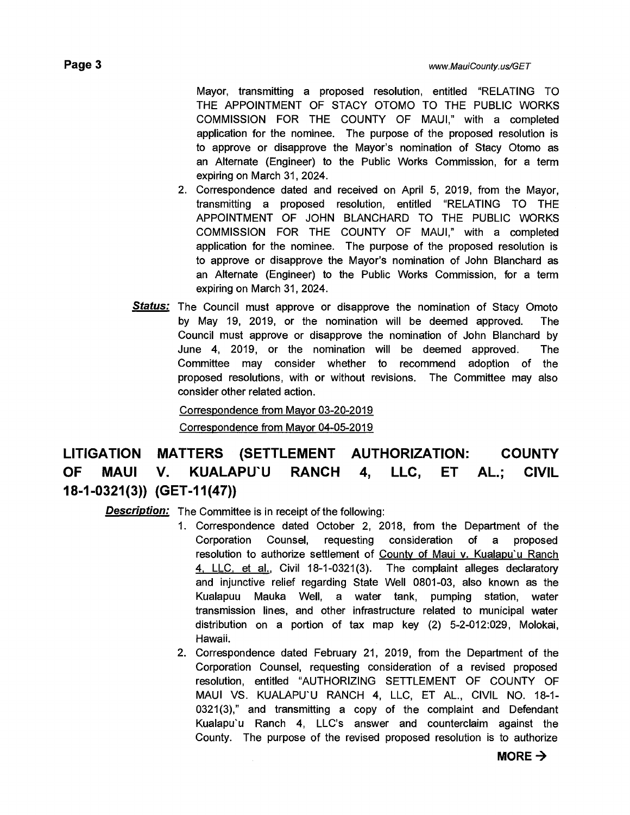Mayor, transmitting a proposed resolution, entitled "RELATING TO THE APPOINTMENT OF STACY OTOMO TO THE PUBLIC WORKS COMMISSION FOR THE COUNTY OF MAUI," with a completed application for the nominee. The purpose of the proposed resolution is to approve or disapprove the Mayor's nomination of Stacy Otomo as an Alternate (Engineer) to the Public Works Commission, for a term expiring on March 31, 2024.

- 2. Correspondence dated and received on April 5, 2019, from the Mayor, transmitting a proposed resolution, entitled "RELATING TO THE APPOINTMENT OF JOHN BLANCHARD TO THE PUBLIC WORKS COMMISSION FOR THE COUNTY OF MAUI," with a completed application for the nominee. The purpose of the proposed resolution is to approve or disapprove the Mayor's nomination of John Blanchard as an Alternate (Engineer) to the Public Works Commission, for a term expiring on March 31, 2024.
- **Status:** The Council must approve or disapprove the nomination of Stacy Omoto by May 19, 2019, or the nomination will be deemed approved. The Council must approve or disapprove the nomination of John Blanchard by June 4, 2019, or the nomination will be deemed approved. The Committee may consider whether to recommend adoption of the proposed resolutions, with or without revisions. The Committee may also consider other related action.

Correspondence from Mayor 03-20-2019 Correspondence from Mayor 04-05-2019

## **LITIGATION MATTERS (SETTLEMENT AUTHORIZATION: COUNTY OF MAUI V. KUALAPU'U RANCH 4, LLC, ET AL.; CIVIL 18-1-0321(3)) (GET-11(47))**

**Description:** The Committee is in receipt of the following:

- 1 Correspondence dated October 2, 2018, from the Department of the Corporation Counsel, requesting consideration of a proposed resolution to authorize settlement of County of Maui v. Kualapu'u Ranch 4, LLC, et al., Civil 18-1-0321(3). The complaint alleges declaratory and injunctive relief regarding State Well 0801-03, also known as the Kualapuu Mauka Well, a water tank, pumping station, water transmission lines, and other infrastructure related to municipal water distribution on a portion of tax map key (2) 5-2-012:029, Molokai, Hawaii.
- 2. Correspondence dated February 21, 2019, from the Department of the Corporation Counsel, requesting consideration of a revised proposed resolution, entitled "AUTHORIZING SETTLEMENT OF COUNTY OF MAUI VS. KUALAPU'U RANCH 4, LLC, ET AL., CIVIL NO. 18-1- 0321(3)," and transmitting a copy of the complaint and Defendant Kualapu'u Ranch 4, LLC's answer and counterclaim against the County. The purpose of the revised proposed resolution is to authorize